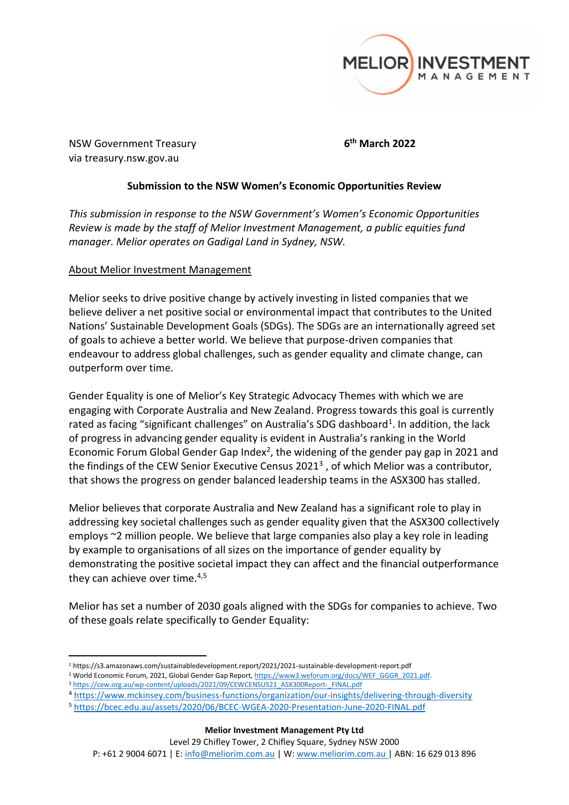

NSW Government Treasury **6** via treasury.nsw.gov.au

**th March 2022**

# **Submission to the NSW Women's Economic Opportunities Review**

*This submission in response to the NSW Government's Women's Economic Opportunities Review is made by the staff of Melior Investment Management, a public equities fund manager. Melior operates on Gadigal Land in Sydney, NSW.* 

# About Melior Investment Management

Melior seeks to drive positive change by actively investing in listed companies that we believe deliver a net positive social or environmental impact that contributes to the United Nations' Sustainable Development Goals (SDGs). The SDGs are an internationally agreed set of goals to achieve a better world. We believe that purpose-driven companies that endeavour to address global challenges, such as gender equality and climate change, can outperform over time.

Gender Equality is one of Melior's Key Strategic Advocacy Themes with which we are engaging with Corporate Australia and New Zealand. Progress towards this goal is currently rated as facing "significant challenges" on Australia's SDG dashboard<sup>1</sup>. In addition, the lack of progress in advancing gender equality is evident in Australia's ranking in the World Economic Forum Global Gender Gap Index<sup>2</sup>, the widening of the gender pay gap in 2021 and the findings of the CEW Senior Executive Census 2021<sup>3</sup>, of which Melior was a contributor, that shows the progress on gender balanced leadership teams in the ASX300 has stalled.

Melior believes that corporate Australia and New Zealand has a significant role to play in addressing key societal challenges such as gender equality given that the ASX300 collectively employs ~2 million people. We believe that large companies also play a key role in leading by example to organisations of all sizes on the importance of gender equality by demonstrating the positive societal impact they can affect and the financial outperformance they can achieve over time.<sup>4,5</sup>

Melior has set a number of 2030 goals aligned with the SDGs for companies to achieve. Two of these goals relate specifically to Gender Equality:

- <sup>2</sup> World Economic Forum, 2021, Global Gender Gap Report[, https://www3.weforum.org/docs/WEF\\_GGGR\\_2021.pdf.](https://www3.weforum.org/docs/WEF_GGGR_2021.pdf)
- 3 [https://cew.org.au/wp-content/uploads/2021/09/CEWCENSUS21\\_ASX300Report-\\_FINAL.pdf](https://cew.org.au/wp-content/uploads/2021/09/CEWCENSUS21_ASX300Report-_FINAL.pdf)
- <sup>4</sup> <https://www.mckinsey.com/business-functions/organization/our-insights/delivering-through-diversity>

**Melior Investment Management Pty Ltd**

Level 29 Chifley Tower, 2 Chifley Square, Sydney NSW 2000

P: +61 2 9004 6071 | E[: info@meliorim.com.au](mailto:info@meliorim.com.au) | W[: www.meliorim.com.au](http://www.meliorim.com.au/) | ABN: 16 629 013 896

<sup>1</sup> https://s3.amazonaws.com/sustainabledevelopment.report/2021/2021-sustainable-development-report.pdf

<sup>5</sup> <https://bcec.edu.au/assets/2020/06/BCEC-WGEA-2020-Presentation-June-2020-FINAL.pdf>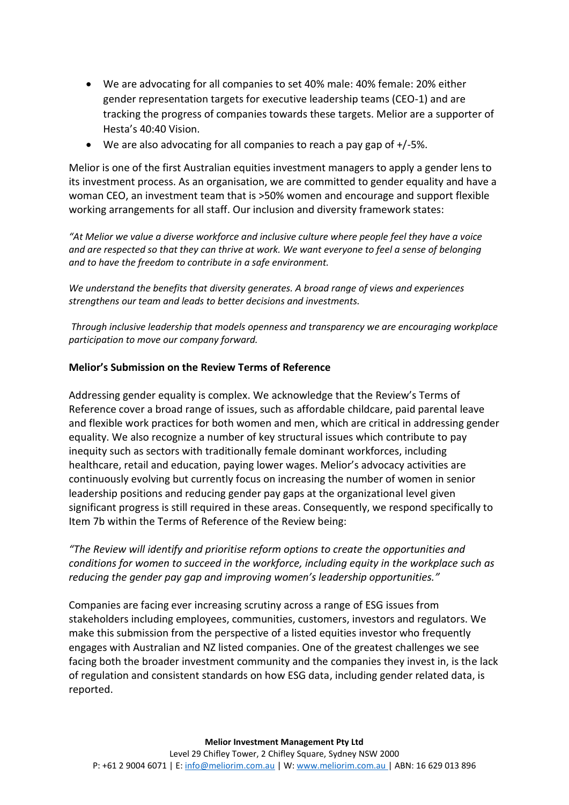- We are advocating for all companies to set 40% male: 40% female: 20% either gender representation targets for executive leadership teams (CEO-1) and are tracking the progress of companies towards these targets. Melior are a supporter of Hesta's 40:40 Vision.
- We are also advocating for all companies to reach a pay gap of +/-5%.

Melior is one of the first Australian equities investment managers to apply a gender lens to its investment process. As an organisation, we are committed to gender equality and have a woman CEO, an investment team that is >50% women and encourage and support flexible working arrangements for all staff. Our inclusion and diversity framework states:

*"At Melior we value a diverse workforce and inclusive culture where people feel they have a voice and are respected so that they can thrive at work. We want everyone to feel a sense of belonging and to have the freedom to contribute in a safe environment.*

*We understand the benefits that diversity generates. A broad range of views and experiences strengthens our team and leads to better decisions and investments.*

*Through inclusive leadership that models openness and transparency we are encouraging workplace participation to move our company forward.*

## **Melior's Submission on the Review Terms of Reference**

Addressing gender equality is complex. We acknowledge that the Review's Terms of Reference cover a broad range of issues, such as affordable childcare, paid parental leave and flexible work practices for both women and men, which are critical in addressing gender equality. We also recognize a number of key structural issues which contribute to pay inequity such as sectors with traditionally female dominant workforces, including healthcare, retail and education, paying lower wages. Melior's advocacy activities are continuously evolving but currently focus on increasing the number of women in senior leadership positions and reducing gender pay gaps at the organizational level given significant progress is still required in these areas. Consequently, we respond specifically to Item 7b within the Terms of Reference of the Review being:

*"The Review will identify and prioritise reform options to create the opportunities and conditions for women to succeed in the workforce, including equity in the workplace such as reducing the gender pay gap and improving women's leadership opportunities."*

Companies are facing ever increasing scrutiny across a range of ESG issues from stakeholders including employees, communities, customers, investors and regulators. We make this submission from the perspective of a listed equities investor who frequently engages with Australian and NZ listed companies. One of the greatest challenges we see facing both the broader investment community and the companies they invest in, is the lack of regulation and consistent standards on how ESG data, including gender related data, is reported.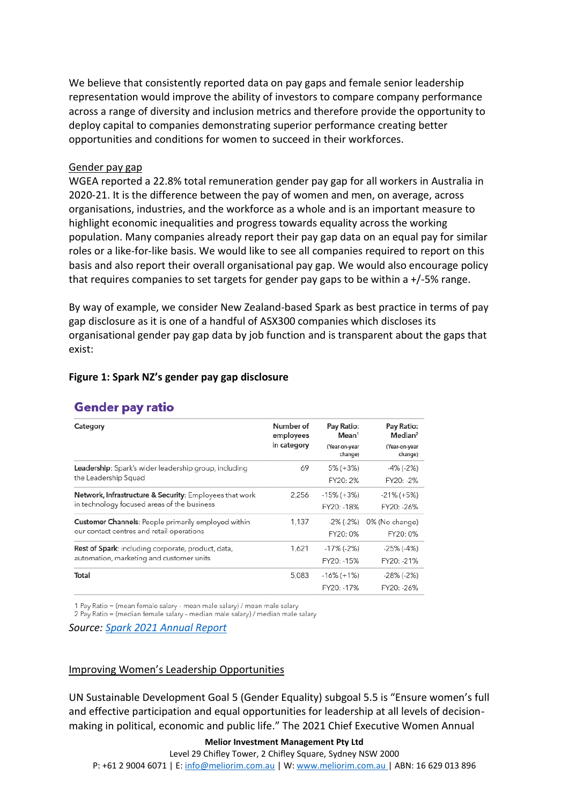We believe that consistently reported data on pay gaps and female senior leadership representation would improve the ability of investors to compare company performance across a range of diversity and inclusion metrics and therefore provide the opportunity to deploy capital to companies demonstrating superior performance creating better opportunities and conditions for women to succeed in their workforces.

### Gender pay gap

WGEA reported a 22.8% total remuneration gender pay gap for all workers in Australia in 2020-21. It is the difference between the pay of women and men, on average, across organisations, industries, and the workforce as a whole and is an important measure to highlight economic inequalities and progress towards equality across the working population. Many companies already report their pay gap data on an equal pay for similar roles or a like-for-like basis. We would like to see all companies required to report on this basis and also report their overall organisational pay gap. We would also encourage policy that requires companies to set targets for gender pay gaps to be within a +/-5% range.

By way of example, we consider New Zealand-based Spark as best practice in terms of pay gap disclosure as it is one of a handful of ASX300 companies which discloses its organisational gender pay gap data by job function and is transparent about the gaps that exist:

#### **Figure 1: Spark NZ's gender pay gap disclosure**

| <b>Gender pay ratio</b> |  |
|-------------------------|--|
|                         |  |

| Category                                                | Number of                | Pay Ratio:                                    | Pay Ratio:                                      |
|---------------------------------------------------------|--------------------------|-----------------------------------------------|-------------------------------------------------|
|                                                         | employees<br>in category | Mean <sup>1</sup><br>(Year-on-year<br>change) | Median <sup>2</sup><br>(Year-on-year<br>change) |
| Leadership: Spark's wider leadership group, including   | 69                       | 5% (+3%)                                      | -4% (-2%)                                       |
| the Leadership Squad                                    |                          | FY20: 2%                                      | FY20: -2%                                       |
| Network, Infrastructure & Security: Employees that work | 2,256                    | $-15\%$ (+3%)                                 | $-21\%$ (+5%)                                   |
| in technology focused areas of the business             |                          | FY20: -18%                                    | FY20: -26%                                      |
| Customer Channels: People primarily employed within     | 1,137                    | -2% (-2%)                                     | 0% (No change)                                  |
| our contact centres and retail operations               |                          | FY20: 0%                                      | FY20: 0%                                        |
| Rest of Spark: including corporate, product, data,      | 1.621                    | -17% (-2%)                                    | $-25\%$ ( $-4\%$ )                              |
| automation, marketing and customer units                |                          | FY20: -15%                                    | FY20: -21%                                      |
| Total                                                   | 5,083                    | $-16\%$ (+1%)<br>FY20: -17%                   | -28% (-2%)<br>FY20: -26%                        |

1 Pay Ratio = (mean female salary - mean male salary) / mean male salary

2 Pay Ratio = (median female salary - median male salary) / median male salary

*Source: [Spark 2021 Annual Report](https://investors.sparknz.co.nz/FormBuilder/_Resource/_module/gXbeer80tkeL4nEaF-kwFA/2021%20Annual%20Report%202021%20FINAL.pdf)*

#### Improving Women's Leadership Opportunities

UN Sustainable Development Goal 5 (Gender Equality) subgoal 5.5 is "Ensure women's full and effective participation and equal opportunities for leadership at all levels of decisionmaking in political, economic and public life." The 2021 Chief Executive Women Annual

#### **Melior Investment Management Pty Ltd**